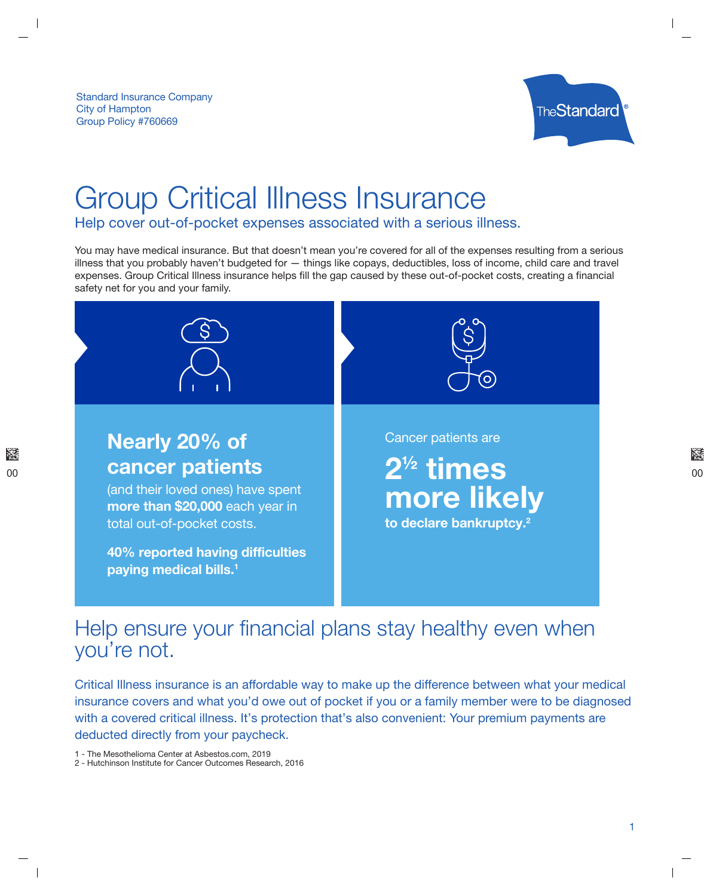

# **Group Critical Illness Insurance**

Help cover out-of-pocket expenses associated with a serious illness.

You may have medical insurance. But that doesn't mean you're covered for all of the expenses resulting from a serious illness that you probably haven't budgeted for - things like copays, deductibles, loss of income, child care and travel expenses. Group Critical Illness insurance helps fill the gap caused by these out-of-pocket costs, creating a financial safety net for you and your family.



# Help ensure your financial plans stay healthy even when you're not.

Critical Illness insurance is an affordable way to make up the difference between what your medical insurance covers and what you'd owe out of pocket if you or a family member were to be diagnosed with a covered critical illness. It's protection that's also convenient: Your premium payments are deducted directly from your paycheck.

1 - The Mesothelioma Center at Asbestos.com, 2019

<sup>2 -</sup> Hutchinson Institute for Cancer Outcomes Research, 2016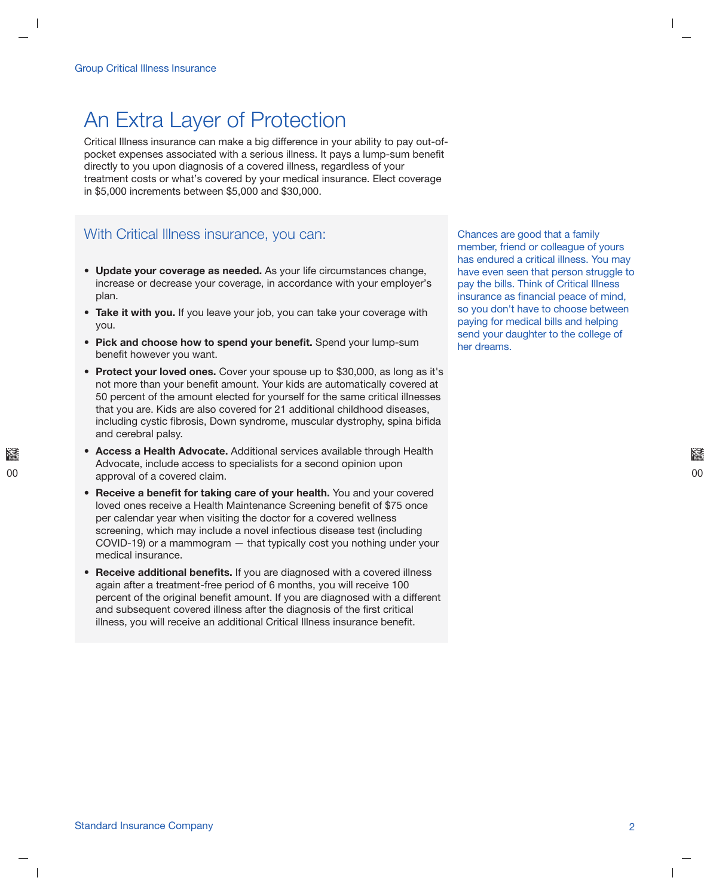# An Extra Layer of Protection

Critical Illness insurance can make a big difference in your ability to pay out-ofpocket expenses associated with a serious illness. It pays a lump-sum benefit directly to you upon diagnosis of a covered illness, regardless of your treatment costs or what's covered by your medical insurance. Elect coverage in \$5,000 increments between \$5,000 and \$30,000.

### With Critical Illness insurance, you can:

- Update your coverage as needed. As your life circumstances change, increase or decrease your coverage, in accordance with your employer's plan.
- Take it with you. If you leave your job, you can take your coverage with you.
- Pick and choose how to spend your benefit. Spend your lump-sum benefit however you want.
- Protect your loved ones. Cover your spouse up to \$30,000, as long as it's not more than your benefit amount. Your kids are automatically covered at 50 percent of the amount elected for yourself for the same critical illnesses that you are. Kids are also covered for 21 additional childhood diseases. including cystic fibrosis, Down syndrome, muscular dystrophy, spina bifida and cerebral palsy.
- Access a Health Advocate. Additional services available through Health Advocate, include access to specialists for a second opinion upon approval of a covered claim.
- Receive a benefit for taking care of your health. You and your covered loved ones receive a Health Maintenance Screening benefit of \$75 once per calendar year when visiting the doctor for a covered wellness screening, which may include a novel infectious disease test (including COVID-19) or a mammogram — that typically cost you nothing under your medical insurance.
- Receive additional benefits. If you are diagnosed with a covered illness again after a treatment-free period of 6 months, you will receive 100 percent of the original benefit amount. If you are diagnosed with a different and subsequent covered illness after the diagnosis of the first critical illness, you will receive an additional Critical Illness insurance benefit.

Chances are good that a family member, friend or colleague of yours has endured a critical illness. You may have even seen that person struggle to pay the bills. Think of Critical Illness insurance as financial peace of mind, so you don't have to choose between paying for medical bills and helping send your daughter to the college of her dreams.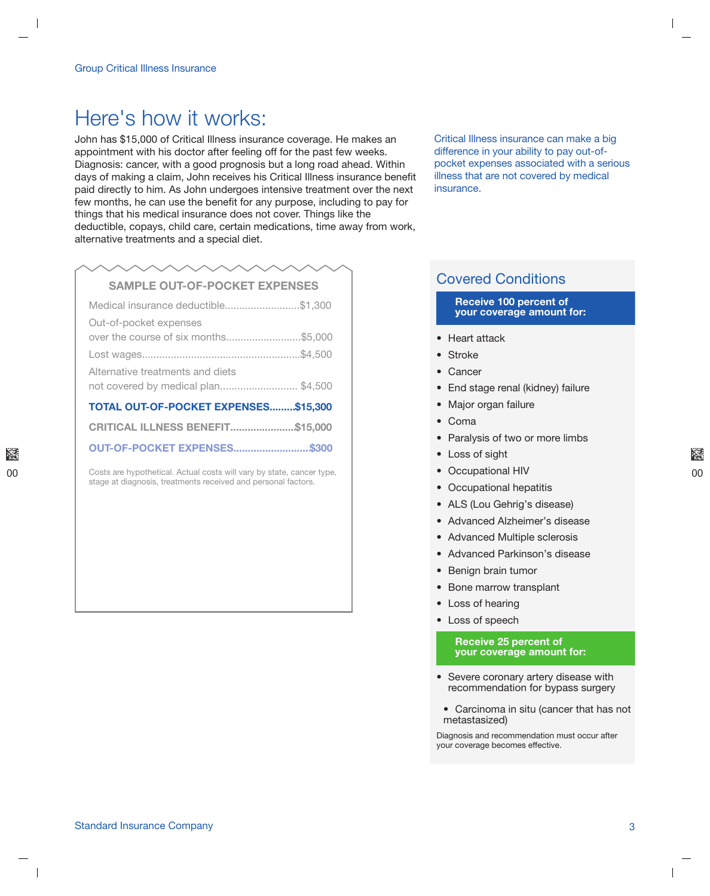# Here's how it works:

John has \$15,000 of Critical Illness insurance coverage. He makes an appointment with his doctor after feeling off for the past few weeks. Diagnosis: cancer, with a good prognosis but a long road ahead. Within days of making a claim, John receives his Critical Illness insurance benefit paid directly to him. As John undergoes intensive treatment over the next few months, he can use the benefit for any purpose, including to pay for things that his medical insurance does not cover. Things like the deductible, copays, child care, certain medications, time away from work, alternative treatments and a special diet.

## **SAMPLE OUT-OF-POCKET EXPENSES**

|                                  | Medical insurance deductible\$1,300     |  |
|----------------------------------|-----------------------------------------|--|
| Out-of-pocket expenses           |                                         |  |
|                                  | over the course of six months\$5,000    |  |
|                                  |                                         |  |
| Alternative treatments and diets | not covered by medical plan\$4,500      |  |
|                                  | TOTAL OUT-OF-POCKET EXPENSES\$15,300    |  |
|                                  | <b>CRITICAL ILLNESS BENEFIT\$15,000</b> |  |
|                                  |                                         |  |

Costs are hypothetical. Actual costs will vary by state, cancer type, stage at diagnosis, treatments received and personal factors.

Critical Illness insurance can make a big difference in your ability to pay out-ofpocket expenses associated with a serious illness that are not covered by medical insurance.

### **Covered Conditions**

#### **Receive 100 percent of** your coverage amount for:

- Heart attack
- Stroke
- $\bullet$  Cancer
- End stage renal (kidney) failure
- Major organ failure
- Coma
- Paralysis of two or more limbs
- Loss of sight
- Occupational HIV
- Occupational hepatitis
- ALS (Lou Gehrig's disease)
- Advanced Alzheimer's disease
- Advanced Multiple sclerosis
- Advanced Parkinson's disease
- Benign brain tumor
- Bone marrow transplant
- Loss of hearing
- Loss of speech

#### **Receive 25 percent of** your coverage amount for:

- Severe coronary artery disease with recommendation for bypass surgery
- Carcinoma in situ (cancer that has not metastasized)

Diagnosis and recommendation must occur after your coverage becomes effective.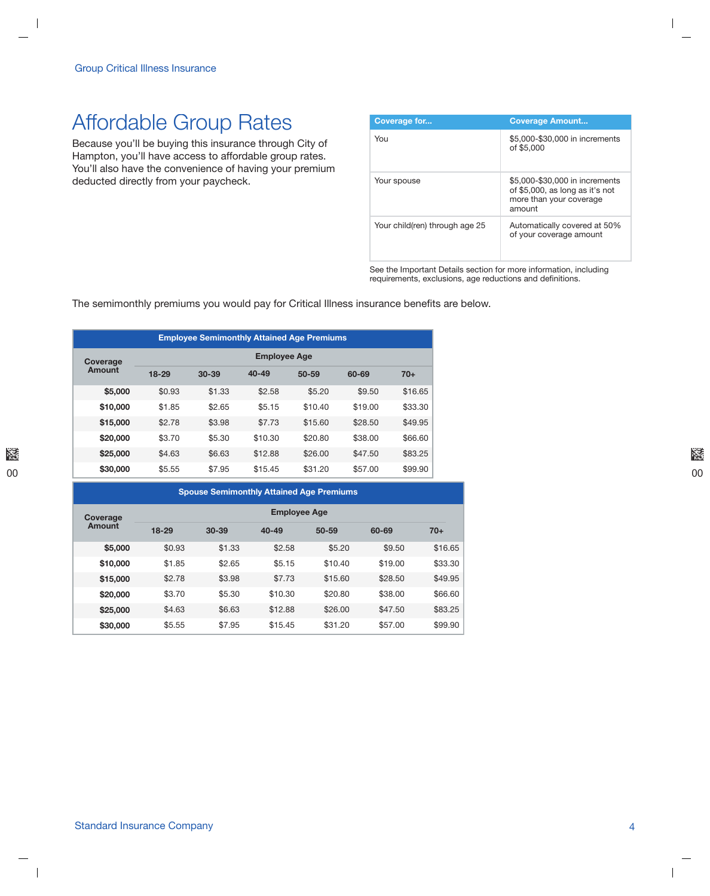# **Affordable Group Rates**

Because you'll be buying this insurance through City of Hampton, you'll have access to affordable group rates. You'll also have the convenience of having your premium deducted directly from your paycheck.

| Coverage for                   | <b>Coverage Amount</b>                                                                                 |
|--------------------------------|--------------------------------------------------------------------------------------------------------|
| You                            | \$5,000-\$30,000 in increments<br>of \$5,000                                                           |
| Your spouse                    | \$5,000-\$30,000 in increments<br>of \$5,000, as long as it's not<br>more than your coverage<br>amount |
| Your child(ren) through age 25 | Automatically covered at 50%<br>of your coverage amount                                                |

See the Important Details section for more information, including requirements, exclusions, age reductions and definitions.

The semimonthly premiums you would pay for Critical Illness insurance benefits are below.

| <b>Employee Semimonthly Attained Age Premiums</b> |                     |           |           |           |         |         |
|---------------------------------------------------|---------------------|-----------|-----------|-----------|---------|---------|
| Coverage<br><b>Amount</b>                         | <b>Employee Age</b> |           |           |           |         |         |
|                                                   | $18-29$             | $30 - 39$ | $40 - 49$ | $50 - 59$ | 60-69   | $70+$   |
| \$5,000                                           | \$0.93              | \$1.33    | \$2.58    | \$5.20    | \$9.50  | \$16.65 |
| \$10,000                                          | \$1.85              | \$2.65    | \$5.15    | \$10.40   | \$19.00 | \$33.30 |
| \$15,000                                          | \$2.78              | \$3.98    | \$7.73    | \$15.60   | \$28.50 | \$49.95 |
| \$20,000                                          | \$3.70              | \$5.30    | \$10.30   | \$20.80   | \$38.00 | \$66,60 |
| \$25,000                                          | \$4.63              | \$6.63    | \$12.88   | \$26.00   | \$47.50 | \$83.25 |
| \$30,000                                          | \$5.55              | \$7.95    | \$15.45   | \$31.20   | \$57.00 | \$99.90 |

| <b>Spouse Semimonthly Attained Age Premiums</b> |                     |           |           |           |         |         |
|-------------------------------------------------|---------------------|-----------|-----------|-----------|---------|---------|
| Coverage<br>Amount                              | <b>Employee Age</b> |           |           |           |         |         |
|                                                 | $18 - 29$           | $30 - 39$ | $40 - 49$ | $50 - 59$ | 60-69   | $70+$   |
| \$5,000                                         | \$0.93              | \$1.33    | \$2.58    | \$5.20    | \$9.50  | \$16.65 |
| \$10,000                                        | \$1.85              | \$2.65    | \$5.15    | \$10.40   | \$19.00 | \$33.30 |
| \$15,000                                        | \$2.78              | \$3.98    | \$7.73    | \$15.60   | \$28.50 | \$49.95 |
| \$20,000                                        | \$3.70              | \$5.30    | \$10.30   | \$20.80   | \$38.00 | \$66.60 |
| \$25,000                                        | \$4.63              | \$6.63    | \$12.88   | \$26.00   | \$47.50 | \$83.25 |
| \$30,000                                        | \$5.55              | \$7.95    | \$15.45   | \$31.20   | \$57.00 | \$99.90 |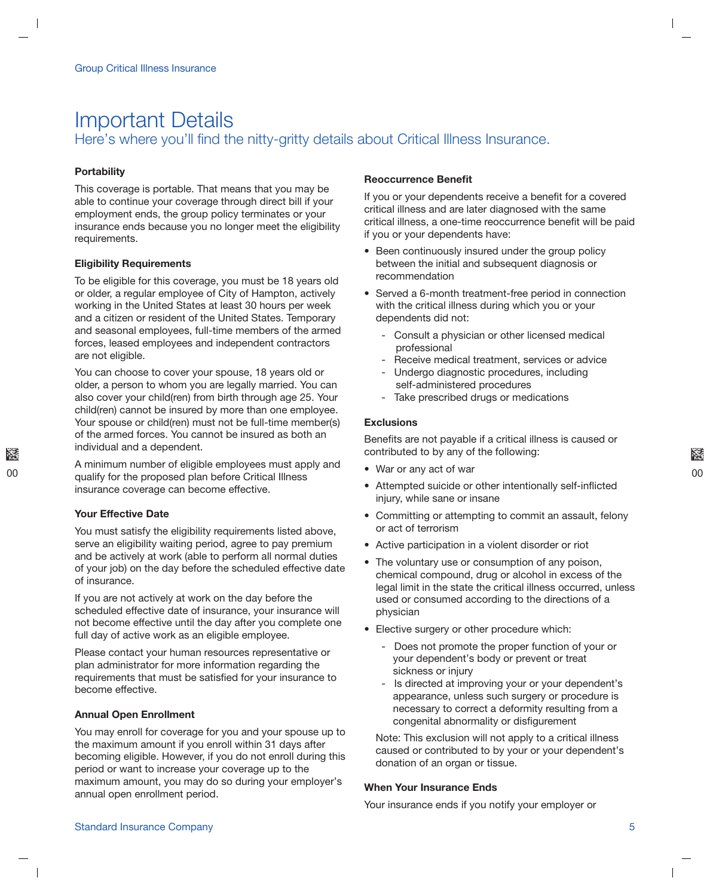### **Important Details** Here's where you'll find the nitty-gritty details about Critical Illness Insurance.

### **Portability**

This coverage is portable. That means that you may be able to continue your coverage through direct bill if your employment ends, the group policy terminates or your insurance ends because you no longer meet the eligibility requirements.

### **Eligibility Requirements**

To be eligible for this coverage, you must be 18 years old or older, a regular employee of City of Hampton, actively working in the United States at least 30 hours per week and a citizen or resident of the United States. Temporary and seasonal employees, full-time members of the armed forces, leased employees and independent contractors are not eligible.

You can choose to cover your spouse, 18 years old or older, a person to whom you are legally married. You can also cover your child(ren) from birth through age 25. Your child(ren) cannot be insured by more than one employee. Your spouse or child(ren) must not be full-time member(s) of the armed forces. You cannot be insured as both an individual and a dependent.

A minimum number of eligible employees must apply and qualify for the proposed plan before Critical Illness insurance coverage can become effective.

### **Your Effective Date**

You must satisfy the eligibility requirements listed above, serve an eligibility waiting period, agree to pay premium and be actively at work (able to perform all normal duties of your job) on the day before the scheduled effective date of insurance.

If you are not actively at work on the day before the scheduled effective date of insurance, your insurance will not become effective until the day after you complete one full day of active work as an eligible employee.

Please contact your human resources representative or plan administrator for more information regarding the requirements that must be satisfied for your insurance to become effective.

### **Annual Open Enrollment**

You may enroll for coverage for you and your spouse up to the maximum amount if you enroll within 31 days after becoming eligible. However, if you do not enroll during this period or want to increase your coverage up to the maximum amount, you may do so during your employer's annual open enrollment period.

#### **Reoccurrence Benefit**

If you or your dependents receive a benefit for a covered critical illness and are later diagnosed with the same critical illness, a one-time reoccurrence benefit will be paid if you or your dependents have:

- Been continuously insured under the group policy between the initial and subsequent diagnosis or recommendation
- Served a 6-month treatment-free period in connection with the critical illness during which you or your dependents did not:
	- Consult a physician or other licensed medical professional
	- Receive medical treatment, services or advice
	- Undergo diagnostic procedures, including self-administered procedures
	- Take prescribed drugs or medications

#### **Exclusions**

Benefits are not payable if a critical illness is caused or contributed to by any of the following:

- War or any act of war
- Attempted suicide or other intentionally self-inflicted injury, while sane or insane
- Committing or attempting to commit an assault, felony or act of terrorism
- Active participation in a violent disorder or riot
- The voluntary use or consumption of any poison, chemical compound, drug or alcohol in excess of the legal limit in the state the critical illness occurred, unless used or consumed according to the directions of a physician
- Elective surgery or other procedure which:
	- Does not promote the proper function of your or your dependent's body or prevent or treat sickness or injury
	- Is directed at improving your or your dependent's  $\sim$ appearance, unless such surgery or procedure is necessary to correct a deformity resulting from a congenital abnormality or disfigurement

Note: This exclusion will not apply to a critical illness caused or contributed to by your or your dependent's donation of an organ or tissue.

#### **When Your Insurance Ends**

Your insurance ends if you notify your employer or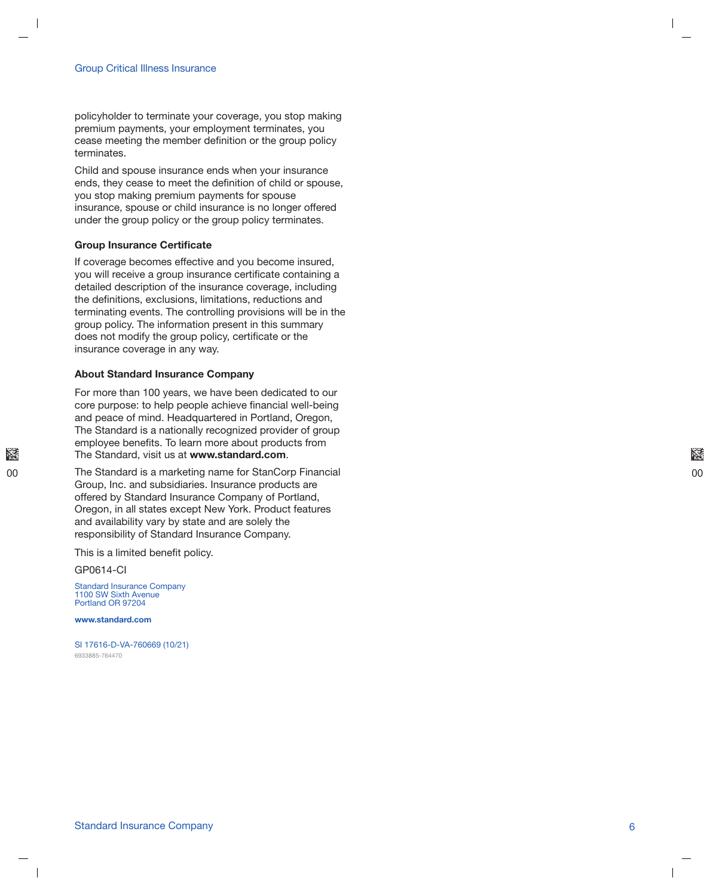policyholder to terminate your coverage, you stop making premium payments, your employment terminates, you cease meeting the member definition or the group policy terminates.

Child and spouse insurance ends when your insurance ends, they cease to meet the definition of child or spouse, you stop making premium payments for spouse insurance, spouse or child insurance is no longer offered under the group policy or the group policy terminates.

#### **Group Insurance Certificate**

If coverage becomes effective and you become insured, you will receive a group insurance certificate containing a detailed description of the insurance coverage, including the definitions, exclusions, limitations, reductions and terminating events. The controlling provisions will be in the group policy. The information present in this summary does not modify the group policy, certificate or the insurance coverage in any way.

#### **About Standard Insurance Company**

For more than 100 years, we have been dedicated to our core purpose: to help people achieve financial well-being and peace of mind. Headquartered in Portland, Oregon, The Standard is a nationally recognized provider of group employee benefits. To learn more about products from The Standard, visit us at www.standard.com.

The Standard is a marketing name for StanCorp Financial Group, Inc. and subsidiaries. Insurance products are offered by Standard Insurance Company of Portland, Oregon, in all states except New York. Product features and availability vary by state and are solely the responsibility of Standard Insurance Company.

This is a limited benefit policy.

GP0614-CI

Standard Insurance Company<br>1100 SW Sixth Avenue Portland OR 97204

www.standard.com

SI 17616-D-VA-760669 (10/21) 6933885-764470